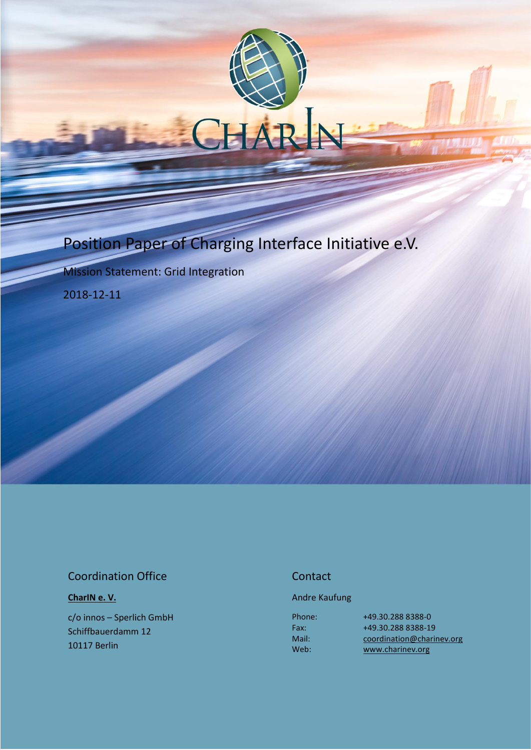# Position Paper of Charging Interface Initiative e.V.

Mission Statement: Grid Integration

2018-12-11

### Coordination Office

#### **[CharIN](http://charinev.org/news/) e. V.**

c/o innos – Sperlich GmbH Schiffbauerdamm 12 10117 Berlin

#### **Contact**

#### Andre Kaufung

Phone: Fax: Mail: Web:

[+49.30.288](tel:+49%2030%20288) 8388-0 [+49.30.288](tel:+49%2030%20288) 8388-19 [coordination@charinev.org](mailto:andre.kaufung@charinev.org) [www.charinev.org](http://www.charinev.org/)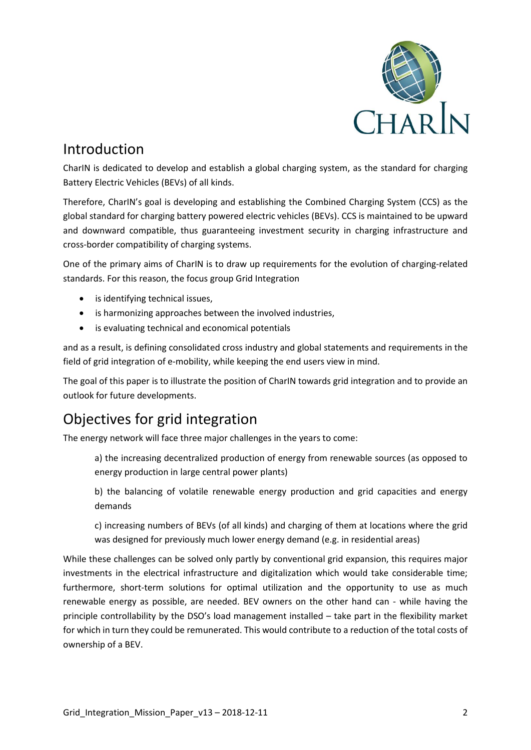

### Introduction

CharIN is dedicated to develop and establish a global charging system, as the standard for charging Battery Electric Vehicles (BEVs) of all kinds.

Therefore, CharIN's goal is developing and establishing the Combined Charging System (CCS) as the global standard for charging battery powered electric vehicles (BEVs). CCS is maintained to be upward and downward compatible, thus guaranteeing investment security in charging infrastructure and cross-border compatibility of charging systems.

One of the primary aims of CharIN is to draw up requirements for the evolution of charging-related standards. For this reason, the focus group Grid Integration

- is identifying technical issues,
- is harmonizing approaches between the involved industries,
- is evaluating technical and economical potentials

and as a result, is defining consolidated cross industry and global statements and requirements in the field of grid integration of e-mobility, while keeping the end users view in mind.

The goal of this paper is to illustrate the position of CharIN towards grid integration and to provide an outlook for future developments.

### Objectives for grid integration

The energy network will face three major challenges in the years to come:

a) the increasing decentralized production of energy from renewable sources (as opposed to energy production in large central power plants)

b) the balancing of volatile renewable energy production and grid capacities and energy demands

c) increasing numbers of BEVs (of all kinds) and charging of them at locations where the grid was designed for previously much lower energy demand (e.g. in residential areas)

While these challenges can be solved only partly by conventional grid expansion, this requires major investments in the electrical infrastructure and digitalization which would take considerable time; furthermore, short-term solutions for optimal utilization and the opportunity to use as much renewable energy as possible, are needed. BEV owners on the other hand can - while having the principle controllability by the DSO's load management installed – take part in the flexibility market for which in turn they could be remunerated. This would contribute to a reduction of the total costs of ownership of a BEV.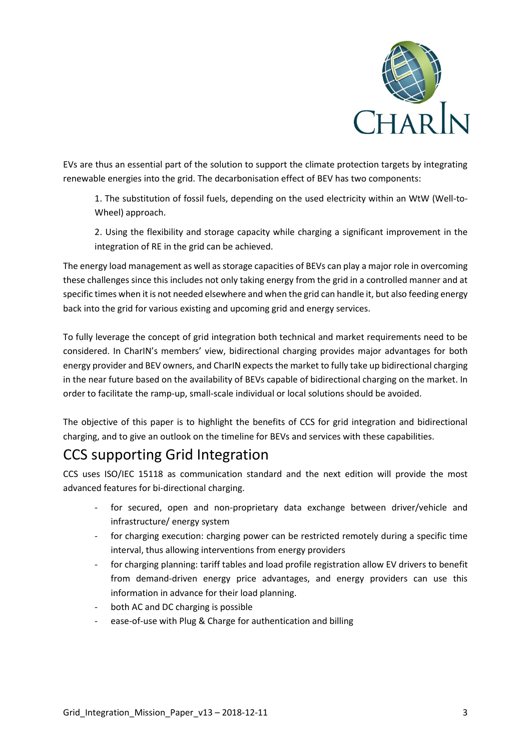

EVs are thus an essential part of the solution to support the climate protection targets by integrating renewable energies into the grid. The decarbonisation effect of BEV has two components:

1. The substitution of fossil fuels, depending on the used electricity within an WtW (Well-to-Wheel) approach.

2. Using the flexibility and storage capacity while charging a significant improvement in the integration of RE in the grid can be achieved.

The energy load management as well as storage capacities of BEVs can play a major role in overcoming these challenges since this includes not only taking energy from the grid in a controlled manner and at specific times when it is not needed elsewhere and when the grid can handle it, but also feeding energy back into the grid for various existing and upcoming grid and energy services.

To fully leverage the concept of grid integration both technical and market requirements need to be considered. In CharIN's members' view, bidirectional charging provides major advantages for both energy provider and BEV owners, and CharIN expects the market to fully take up bidirectional charging in the near future based on the availability of BEVs capable of bidirectional charging on the market. In order to facilitate the ramp-up, small-scale individual or local solutions should be avoided.

The objective of this paper is to highlight the benefits of CCS for grid integration and bidirectional charging, and to give an outlook on the timeline for BEVs and services with these capabilities.

## CCS supporting Grid Integration

CCS uses ISO/IEC 15118 as communication standard and the next edition will provide the most advanced features for bi-directional charging.

- for secured, open and non-proprietary data exchange between driver/vehicle and infrastructure/ energy system
- for charging execution: charging power can be restricted remotely during a specific time interval, thus allowing interventions from energy providers
- for charging planning: tariff tables and load profile registration allow EV drivers to benefit from demand-driven energy price advantages, and energy providers can use this information in advance for their load planning.
- both AC and DC charging is possible
- ease-of-use with Plug & Charge for authentication and billing